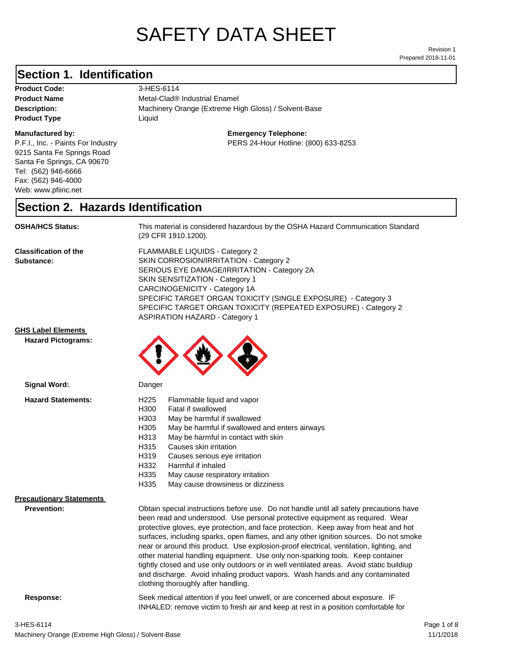# SAFETY DATA SHEET

Prepared 2018-11-01 Revision 1

# **Section 1. Identification**

Product Code: 3-HES-6114 **Product Type Liquid Liquid** 

### **Manufactured by:**

P.F.I., Inc. - Paints For Industry 9215 Santa Fe Springs Road Santa Fe Springs, CA 90670 Tel: (562) 946-6666 Fax: (562) 946-4000 Web: www.pfiinc.net

**Description:** Machinery Orange (Extreme High Gloss) / Solvent-Base **Product Name** Metal-Clad<sup>®</sup> Industrial Enamel

**Emergency Telephone:**

PERS 24-Hour Hotline: (800) 633-8253

# **Section 2. Hazards Identification**

**OSHA/HCS Status:** This material is considered hazardous by the OSHA Hazard Communication Standard (29 CFR 1910.1200).

**Classification of the Substance:**

FLAMMABLE LIQUIDS - Category 2 SKIN CORROSION/IRRITATION - Category 2 SERIOUS EYE DAMAGE/IRRITATION - Category 2A SKIN SENSITIZATION - Category 1 CARCINOGENICITY - Category 1A SPECIFIC TARGET ORGAN TOXICITY (SINGLE EXPOSURE) - Category 3 SPECIFIC TARGET ORGAN TOXICITY (REPEATED EXPOSURE) - Category 2 ASPIRATION HAZARD - Category 1

## **GHS Label Elements**

**Signal Word:**

**Hazard Pictograms:**



| <b>Hazard Statements:</b>       | H <sub>225</sub> | Flammable liquid and vapor                                                                                                                                                                                                                                                                                                                                                                                                                                                                                                                                                                                                                                                                                                                               |
|---------------------------------|------------------|----------------------------------------------------------------------------------------------------------------------------------------------------------------------------------------------------------------------------------------------------------------------------------------------------------------------------------------------------------------------------------------------------------------------------------------------------------------------------------------------------------------------------------------------------------------------------------------------------------------------------------------------------------------------------------------------------------------------------------------------------------|
|                                 | H300             | Fatal if swallowed                                                                                                                                                                                                                                                                                                                                                                                                                                                                                                                                                                                                                                                                                                                                       |
|                                 | H303             | May be harmful if swallowed                                                                                                                                                                                                                                                                                                                                                                                                                                                                                                                                                                                                                                                                                                                              |
|                                 | H305             | May be harmful if swallowed and enters airways                                                                                                                                                                                                                                                                                                                                                                                                                                                                                                                                                                                                                                                                                                           |
|                                 | H313             | May be harmful in contact with skin                                                                                                                                                                                                                                                                                                                                                                                                                                                                                                                                                                                                                                                                                                                      |
|                                 | H315             | Causes skin irritation                                                                                                                                                                                                                                                                                                                                                                                                                                                                                                                                                                                                                                                                                                                                   |
|                                 | H319             | Causes serious eye irritation                                                                                                                                                                                                                                                                                                                                                                                                                                                                                                                                                                                                                                                                                                                            |
|                                 | H332             | Harmful if inhaled                                                                                                                                                                                                                                                                                                                                                                                                                                                                                                                                                                                                                                                                                                                                       |
|                                 | H335             | May cause respiratory irritation                                                                                                                                                                                                                                                                                                                                                                                                                                                                                                                                                                                                                                                                                                                         |
|                                 | H335             | May cause drowsiness or dizziness                                                                                                                                                                                                                                                                                                                                                                                                                                                                                                                                                                                                                                                                                                                        |
| <b>Precautionary Statements</b> |                  |                                                                                                                                                                                                                                                                                                                                                                                                                                                                                                                                                                                                                                                                                                                                                          |
| <b>Prevention:</b>              |                  | Obtain special instructions before use. Do not handle until all safety precautions have<br>been read and understood. Use personal protective equipment as required. Wear<br>protective gloves, eye protection, and face protection. Keep away from heat and hot<br>surfaces, including sparks, open flames, and any other ignition sources. Do not smoke<br>near or around this product. Use explosion-proof electrical, ventilation, lighting, and<br>other material handling equipment. Use only non-sparking tools. Keep container<br>tightly closed and use only outdoors or in well ventilated areas. Avoid static buildiup<br>and discharge. Avoid inhaling product vapors. Wash hands and any contaminated<br>clothing thoroughly after handling. |
| Response:                       |                  | Seek medical attention if you feel unwell, or are concerned about exposure. IF<br>INHALED: remove victim to fresh air and keep at rest in a position comfortable for                                                                                                                                                                                                                                                                                                                                                                                                                                                                                                                                                                                     |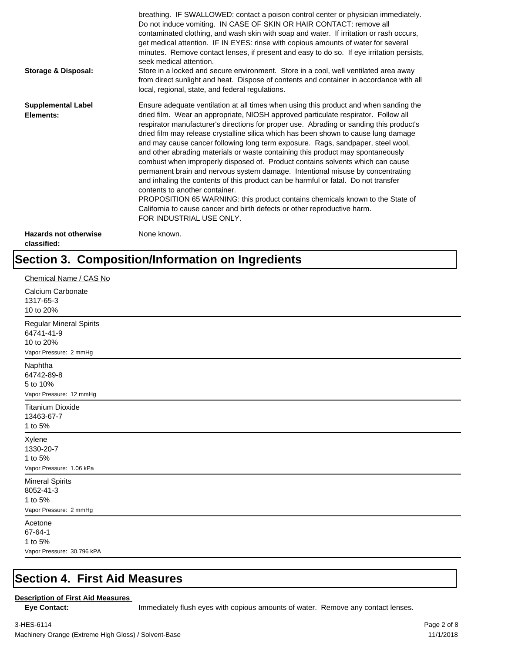| <b>Storage &amp; Disposal:</b>              | breathing. IF SWALLOWED: contact a poison control center or physician immediately.<br>Do not induce vomiting. IN CASE OF SKIN OR HAIR CONTACT: remove all<br>contaminated clothing, and wash skin with soap and water. If irritation or rash occurs,<br>get medical attention. IF IN EYES: rinse with copious amounts of water for several<br>minutes. Remove contact lenses, if present and easy to do so. If eye irritation persists,<br>seek medical attention.<br>Store in a locked and secure environment. Store in a cool, well ventilated area away<br>from direct sunlight and heat. Dispose of contents and container in accordance with all<br>local, regional, state, and federal regulations.                                                                                                                                                                                                                                                                                                                |
|---------------------------------------------|--------------------------------------------------------------------------------------------------------------------------------------------------------------------------------------------------------------------------------------------------------------------------------------------------------------------------------------------------------------------------------------------------------------------------------------------------------------------------------------------------------------------------------------------------------------------------------------------------------------------------------------------------------------------------------------------------------------------------------------------------------------------------------------------------------------------------------------------------------------------------------------------------------------------------------------------------------------------------------------------------------------------------|
| <b>Supplemental Label</b><br>Elements:      | Ensure adequate ventilation at all times when using this product and when sanding the<br>dried film. Wear an appropriate, NIOSH approved particulate respirator. Follow all<br>respirator manufacturer's directions for proper use. Abrading or sanding this product's<br>dried film may release crystalline silica which has been shown to cause lung damage<br>and may cause cancer following long term exposure. Rags, sandpaper, steel wool,<br>and other abrading materials or waste containing this product may spontaneously<br>combust when improperly disposed of. Product contains solvents which can cause<br>permanent brain and nervous system damage. Intentional misuse by concentrating<br>and inhaling the contents of this product can be harmful or fatal. Do not transfer<br>contents to another container.<br>PROPOSITION 65 WARNING: this product contains chemicals known to the State of<br>California to cause cancer and birth defects or other reproductive harm.<br>FOR INDUSTRIAL USE ONLY. |
| <b>Hazards not otherwise</b><br>classified: | None known.                                                                                                                                                                                                                                                                                                                                                                                                                                                                                                                                                                                                                                                                                                                                                                                                                                                                                                                                                                                                              |

# **Section 3. Composition/Information on Ingredients**

| Chemical Name / CAS No                                                              |
|-------------------------------------------------------------------------------------|
| Calcium Carbonate<br>1317-65-3<br>10 to 20%                                         |
| <b>Regular Mineral Spirits</b><br>64741-41-9<br>10 to 20%<br>Vapor Pressure: 2 mmHg |
| Naphtha<br>64742-89-8<br>5 to 10%<br>Vapor Pressure: 12 mmHg                        |
| <b>Titanium Dioxide</b><br>13463-67-7<br>1 to 5%                                    |
| Xylene<br>1330-20-7<br>1 to 5%<br>Vapor Pressure: 1.06 kPa                          |
| <b>Mineral Spirits</b><br>8052-41-3<br>1 to 5%<br>Vapor Pressure: 2 mmHg            |
| Acetone<br>67-64-1<br>1 to 5%<br>Vapor Pressure: 30.796 kPA                         |

# **Section 4. First Aid Measures**

### **Description of First Aid Measures**

Eye Contact: **IMMED** Immediately flush eyes with copious amounts of water. Remove any contact lenses.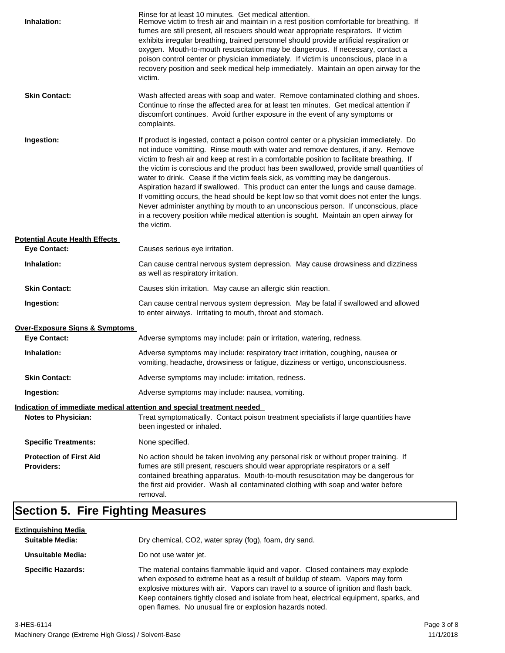| Inhalation:                                         | Rinse for at least 10 minutes. Get medical attention.<br>Remove victim to fresh air and maintain in a rest position comfortable for breathing. If<br>fumes are still present, all rescuers should wear appropriate respirators. If victim<br>exhibits irregular breathing, trained personnel should provide artificial respiration or<br>oxygen. Mouth-to-mouth resuscitation may be dangerous. If necessary, contact a<br>poison control center or physician immediately. If victim is unconscious, place in a<br>recovery position and seek medical help immediately. Maintain an open airway for the<br>victim.                                                                                                                                                                                                                    |
|-----------------------------------------------------|---------------------------------------------------------------------------------------------------------------------------------------------------------------------------------------------------------------------------------------------------------------------------------------------------------------------------------------------------------------------------------------------------------------------------------------------------------------------------------------------------------------------------------------------------------------------------------------------------------------------------------------------------------------------------------------------------------------------------------------------------------------------------------------------------------------------------------------|
| <b>Skin Contact:</b>                                | Wash affected areas with soap and water. Remove contaminated clothing and shoes.<br>Continue to rinse the affected area for at least ten minutes. Get medical attention if<br>discomfort continues. Avoid further exposure in the event of any symptoms or<br>complaints.                                                                                                                                                                                                                                                                                                                                                                                                                                                                                                                                                             |
| Ingestion:                                          | If product is ingested, contact a poison control center or a physician immediately. Do<br>not induce vomitting. Rinse mouth with water and remove dentures, if any. Remove<br>victim to fresh air and keep at rest in a comfortable position to facilitate breathing. If<br>the victim is conscious and the product has been swallowed, provide small quantities of<br>water to drink. Cease if the victim feels sick, as vomitting may be dangerous.<br>Aspiration hazard if swallowed. This product can enter the lungs and cause damage.<br>If vomitting occurs, the head should be kept low so that vomit does not enter the lungs.<br>Never administer anything by mouth to an unconscious person. If unconscious, place<br>in a recovery position while medical attention is sought. Maintain an open airway for<br>the victim. |
| <b>Potential Acute Health Effects</b>               |                                                                                                                                                                                                                                                                                                                                                                                                                                                                                                                                                                                                                                                                                                                                                                                                                                       |
| <b>Eye Contact:</b>                                 | Causes serious eye irritation.                                                                                                                                                                                                                                                                                                                                                                                                                                                                                                                                                                                                                                                                                                                                                                                                        |
| Inhalation:                                         | Can cause central nervous system depression. May cause drowsiness and dizziness<br>as well as respiratory irritation.                                                                                                                                                                                                                                                                                                                                                                                                                                                                                                                                                                                                                                                                                                                 |
| <b>Skin Contact:</b>                                | Causes skin irritation. May cause an allergic skin reaction.                                                                                                                                                                                                                                                                                                                                                                                                                                                                                                                                                                                                                                                                                                                                                                          |
| Ingestion:                                          | Can cause central nervous system depression. May be fatal if swallowed and allowed<br>to enter airways. Irritating to mouth, throat and stomach.                                                                                                                                                                                                                                                                                                                                                                                                                                                                                                                                                                                                                                                                                      |
| Over-Exposure Signs & Symptoms                      |                                                                                                                                                                                                                                                                                                                                                                                                                                                                                                                                                                                                                                                                                                                                                                                                                                       |
| <b>Eye Contact:</b>                                 | Adverse symptoms may include: pain or irritation, watering, redness.                                                                                                                                                                                                                                                                                                                                                                                                                                                                                                                                                                                                                                                                                                                                                                  |
| Inhalation:                                         | Adverse symptoms may include: respiratory tract irritation, coughing, nausea or<br>vomiting, headache, drowsiness or fatigue, dizziness or vertigo, unconsciousness.                                                                                                                                                                                                                                                                                                                                                                                                                                                                                                                                                                                                                                                                  |
| <b>Skin Contact:</b>                                | Adverse symptoms may include: irritation, redness.                                                                                                                                                                                                                                                                                                                                                                                                                                                                                                                                                                                                                                                                                                                                                                                    |
| Ingestion:                                          | Adverse symptoms may include: nausea, vomiting.                                                                                                                                                                                                                                                                                                                                                                                                                                                                                                                                                                                                                                                                                                                                                                                       |
|                                                     | Indication of immediate medical attention and special treatment needed                                                                                                                                                                                                                                                                                                                                                                                                                                                                                                                                                                                                                                                                                                                                                                |
| <b>Notes to Physician:</b>                          | Treat symptomatically. Contact poison treatment specialists if large quantities have<br>been ingested or inhaled.                                                                                                                                                                                                                                                                                                                                                                                                                                                                                                                                                                                                                                                                                                                     |
| <b>Specific Treatments:</b>                         | None specified.                                                                                                                                                                                                                                                                                                                                                                                                                                                                                                                                                                                                                                                                                                                                                                                                                       |
| <b>Protection of First Aid</b><br><b>Providers:</b> | No action should be taken involving any personal risk or without proper training. If<br>fumes are still present, rescuers should wear appropriate respirators or a self<br>contained breathing apparatus. Mouth-to-mouth resuscitation may be dangerous for<br>the first aid provider. Wash all contaminated clothing with soap and water before<br>removal.                                                                                                                                                                                                                                                                                                                                                                                                                                                                          |

# **Section 5. Fire Fighting Measures**

| <u>Extinquishing Media</u> |                                                                                                                                                                                                                                                                                                                                                                                                                   |
|----------------------------|-------------------------------------------------------------------------------------------------------------------------------------------------------------------------------------------------------------------------------------------------------------------------------------------------------------------------------------------------------------------------------------------------------------------|
| <b>Suitable Media:</b>     | Dry chemical, CO2, water spray (fog), foam, dry sand.                                                                                                                                                                                                                                                                                                                                                             |
| Unsuitable Media:          | Do not use water jet.                                                                                                                                                                                                                                                                                                                                                                                             |
| <b>Specific Hazards:</b>   | The material contains flammable liquid and vapor. Closed containers may explode<br>when exposed to extreme heat as a result of buildup of steam. Vapors may form<br>explosive mixtures with air. Vapors can travel to a source of ignition and flash back.<br>Keep containers tightly closed and isolate from heat, electrical equipment, sparks, and<br>open flames. No unusual fire or explosion hazards noted. |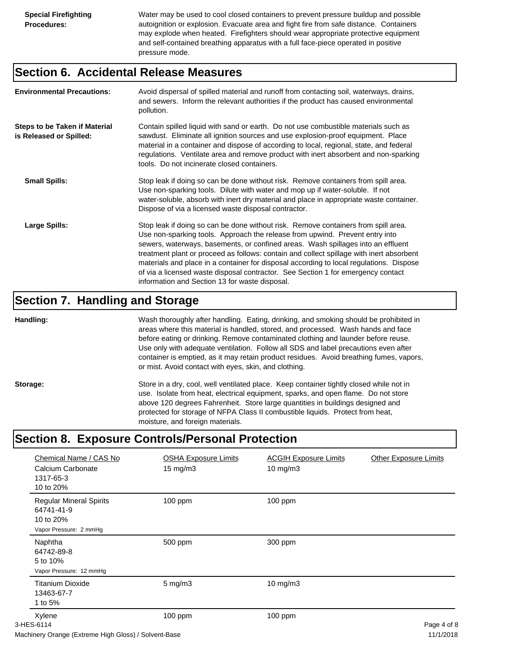Water may be used to cool closed containers to prevent pressure buildup and possible autoignition or explosion. Evacuate area and fight fire from safe distance. Containers may explode when heated. Firefighters should wear appropriate protective equipment and self-contained breathing apparatus with a full face-piece operated in positive pressure mode.

## **Section 6. Accidental Release Measures**

| <b>Environmental Precautions:</b>                               | Avoid dispersal of spilled material and runoff from contacting soil, waterways, drains,<br>and sewers. Inform the relevant authorities if the product has caused environmental<br>pollution.                                                                                                                                                                                                                                                                                                                                                                                        |
|-----------------------------------------------------------------|-------------------------------------------------------------------------------------------------------------------------------------------------------------------------------------------------------------------------------------------------------------------------------------------------------------------------------------------------------------------------------------------------------------------------------------------------------------------------------------------------------------------------------------------------------------------------------------|
| <b>Steps to be Taken if Material</b><br>is Released or Spilled: | Contain spilled liquid with sand or earth. Do not use combustible materials such as<br>sawdust. Eliminate all ignition sources and use explosion-proof equipment. Place<br>material in a container and dispose of according to local, regional, state, and federal<br>regulations. Ventilate area and remove product with inert absorbent and non-sparking<br>tools. Do not incinerate closed containers.                                                                                                                                                                           |
| <b>Small Spills:</b>                                            | Stop leak if doing so can be done without risk. Remove containers from spill area.<br>Use non-sparking tools. Dilute with water and mop up if water-soluble. If not<br>water-soluble, absorb with inert dry material and place in appropriate waste container.<br>Dispose of via a licensed waste disposal contractor.                                                                                                                                                                                                                                                              |
| Large Spills:                                                   | Stop leak if doing so can be done without risk. Remove containers from spill area.<br>Use non-sparking tools. Approach the release from upwind. Prevent entry into<br>sewers, waterways, basements, or confined areas. Wash spillages into an effluent<br>treatment plant or proceed as follows: contain and collect spillage with inert absorbent<br>materials and place in a container for disposal according to local regulations. Dispose<br>of via a licensed waste disposal contractor. See Section 1 for emergency contact<br>information and Section 13 for waste disposal. |

# **Section 7. Handling and Storage**

**Handling:** Wash thoroughly after handling. Eating, drinking, and smoking should be prohibited in areas where this material is handled, stored, and processed. Wash hands and face before eating or drinking. Remove contaminated clothing and launder before reuse. Use only with adequate ventilation. Follow all SDS and label precautions even after container is emptied, as it may retain product residues. Avoid breathing fumes, vapors, or mist. Avoid contact with eyes, skin, and clothing.

Storage: Store in a dry, cool, well ventilated place. Keep container tightly closed while not in use. Isolate from heat, electrical equipment, sparks, and open flame. Do not store above 120 degrees Fahrenheit. Store large quantities in buildings designed and protected for storage of NFPA Class II combustible liquids. Protect from heat, moisture, and foreign materials.

# **Section 8. Exposure Controls/Personal Protection**

| Chemical Name / CAS No<br>Calcium Carbonate<br>1317-65-3<br>10 to 20%               | <b>OSHA Exposure Limits</b><br>$15 \text{ mg/m}$ | <b>ACGIH Exposure Limits</b><br>10 mg/m3 | <b>Other Exposure Limits</b> |
|-------------------------------------------------------------------------------------|--------------------------------------------------|------------------------------------------|------------------------------|
| <b>Regular Mineral Spirits</b><br>64741-41-9<br>10 to 20%<br>Vapor Pressure: 2 mmHg | 100 ppm                                          | 100 ppm                                  |                              |
| Naphtha<br>64742-89-8<br>5 to 10%<br>Vapor Pressure: 12 mmHg                        | 500 ppm                                          | 300 ppm                                  |                              |
| <b>Titanium Dioxide</b><br>13463-67-7<br>1 to 5%                                    | $5$ mg/m $3$                                     | 10 mg/m3                                 |                              |
| Xylene<br>3-HES-6114                                                                | 100 ppm                                          | $100$ ppm                                | Page 4 of 8<br>11110010      |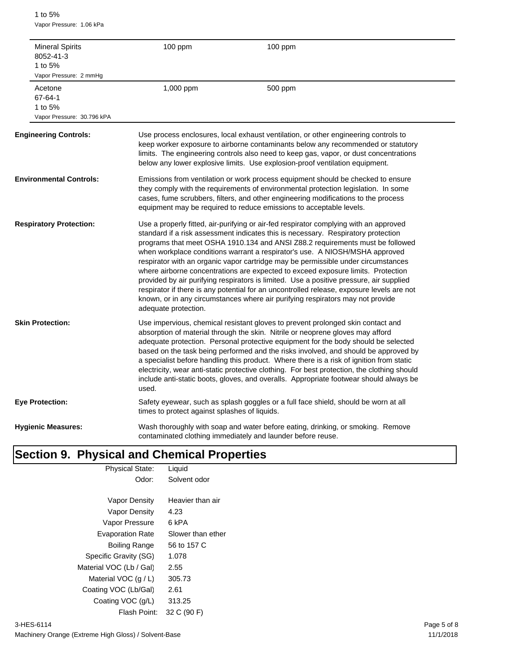1 to 5% Vapor Pressure: 1.06 kPa

| <b>Mineral Spirits</b><br>8052-41-3<br>1 to 5%<br>Vapor Pressure: 2 mmHg | 100 ppm                                       | 100 ppm                                                                                                                                                                                                                                                                                                                                                                                                                                                                                                                                                                                                                                                                                                                                                                                       |
|--------------------------------------------------------------------------|-----------------------------------------------|-----------------------------------------------------------------------------------------------------------------------------------------------------------------------------------------------------------------------------------------------------------------------------------------------------------------------------------------------------------------------------------------------------------------------------------------------------------------------------------------------------------------------------------------------------------------------------------------------------------------------------------------------------------------------------------------------------------------------------------------------------------------------------------------------|
| Acetone<br>67-64-1<br>1 to 5%<br>Vapor Pressure: 30.796 kPA              | 1,000 ppm                                     | 500 ppm                                                                                                                                                                                                                                                                                                                                                                                                                                                                                                                                                                                                                                                                                                                                                                                       |
| <b>Engineering Controls:</b>                                             |                                               | Use process enclosures, local exhaust ventilation, or other engineering controls to<br>keep worker exposure to airborne contaminants below any recommended or statutory<br>limits. The engineering controls also need to keep gas, vapor, or dust concentrations<br>below any lower explosive limits. Use explosion-proof ventilation equipment.                                                                                                                                                                                                                                                                                                                                                                                                                                              |
| <b>Environmental Controls:</b>                                           |                                               | Emissions from ventilation or work process equipment should be checked to ensure<br>they comply with the requirements of environmental protection legislation. In some<br>cases, fume scrubbers, filters, and other engineering modifications to the process<br>equipment may be required to reduce emissions to acceptable levels.                                                                                                                                                                                                                                                                                                                                                                                                                                                           |
| <b>Respiratory Protection:</b>                                           | adequate protection.                          | Use a properly fitted, air-purifying or air-fed respirator complying with an approved<br>standard if a risk assessment indicates this is necessary. Respiratory protection<br>programs that meet OSHA 1910.134 and ANSI Z88.2 requirements must be followed<br>when workplace conditions warrant a respirator's use. A NIOSH/MSHA approved<br>respirator with an organic vapor cartridge may be permissible under circumstances<br>where airborne concentrations are expected to exceed exposure limits. Protection<br>provided by air purifying respirators is limited. Use a positive pressure, air supplied<br>respirator if there is any potential for an uncontrolled release, exposure levels are not<br>known, or in any circumstances where air purifying respirators may not provide |
| <b>Skin Protection:</b>                                                  | used.                                         | Use impervious, chemical resistant gloves to prevent prolonged skin contact and<br>absorption of material through the skin. Nitrile or neoprene gloves may afford<br>adequate protection. Personal protective equipment for the body should be selected<br>based on the task being performed and the risks involved, and should be approved by<br>a specialist before handling this product. Where there is a risk of ignition from static<br>electricity, wear anti-static protective clothing. For best protection, the clothing should<br>include anti-static boots, gloves, and overalls. Appropriate footwear should always be                                                                                                                                                           |
| <b>Eye Protection:</b>                                                   | times to protect against splashes of liquids. | Safety eyewear, such as splash goggles or a full face shield, should be worn at all                                                                                                                                                                                                                                                                                                                                                                                                                                                                                                                                                                                                                                                                                                           |
| <b>Hygienic Measures:</b>                                                |                                               | Wash thoroughly with soap and water before eating, drinking, or smoking. Remove<br>contaminated clothing immediately and launder before reuse.                                                                                                                                                                                                                                                                                                                                                                                                                                                                                                                                                                                                                                                |

# **Section 9. Physical and Chemical Properties**

| <b>Physical State:</b>  | Liquid            |
|-------------------------|-------------------|
| Odor:                   | Solvent odor      |
|                         |                   |
| <b>Vapor Density</b>    | Heavier than air  |
| Vapor Density           | 4.23              |
| Vapor Pressure          | 6 kPA             |
| <b>Evaporation Rate</b> | Slower than ether |
| Boiling Range           | 56 to 157 C       |
| Specific Gravity (SG)   | 1.078             |
| Material VOC (Lb / Gal) | 2.55              |
| Material VOC $(q/L)$    | 305.73            |
| Coating VOC (Lb/Gal)    | 2.61              |
| Coating VOC (g/L)       | 313.25            |
| Flash Point:            | 32 C (90 F)       |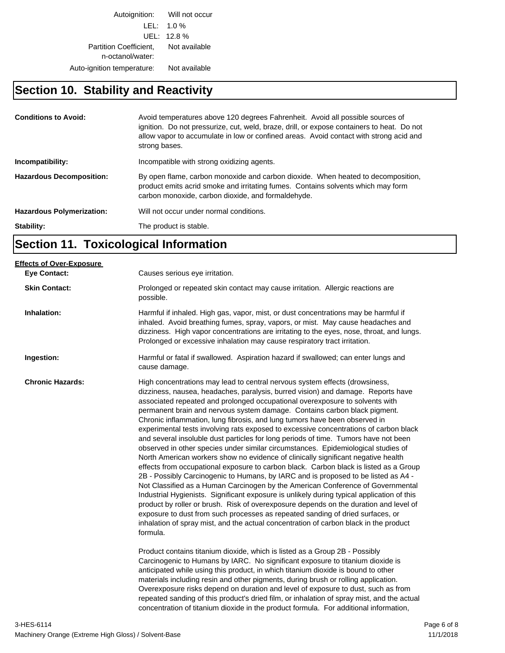Autoignition: Will not occur LEL: 1.0 % UEL: 12.8 % Partition Coefficient, Not available n-octanol/water: Auto-ignition temperature: Not available

# **Section 10. Stability and Reactivity**

| <b>Conditions to Avoid:</b>      | Avoid temperatures above 120 degrees Fahrenheit. Avoid all possible sources of<br>ignition. Do not pressurize, cut, weld, braze, drill, or expose containers to heat. Do not<br>allow vapor to accumulate in low or confined areas. Avoid contact with strong acid and<br>strong bases. |
|----------------------------------|-----------------------------------------------------------------------------------------------------------------------------------------------------------------------------------------------------------------------------------------------------------------------------------------|
| Incompatibility:                 | Incompatible with strong oxidizing agents.                                                                                                                                                                                                                                              |
| <b>Hazardous Decomposition:</b>  | By open flame, carbon monoxide and carbon dioxide. When heated to decomposition,<br>product emits acrid smoke and irritating fumes. Contains solvents which may form<br>carbon monoxide, carbon dioxide, and formaldehyde.                                                              |
| <b>Hazardous Polymerization:</b> | Will not occur under normal conditions.                                                                                                                                                                                                                                                 |
| Stability:                       | The product is stable.                                                                                                                                                                                                                                                                  |

# **Section 11. Toxicological Information**

| <b>Effects of Over-Exposure</b> |                                                                                                                                                                                                                                                                                                                                                                                                                                                                                                                                                                                                                                                                                                                                                                                                                                                                                                                                                                                                                                                                                                                                                                                                                                                                                                                                                                                                                                                                                                                                                                                                                                                                            |
|---------------------------------|----------------------------------------------------------------------------------------------------------------------------------------------------------------------------------------------------------------------------------------------------------------------------------------------------------------------------------------------------------------------------------------------------------------------------------------------------------------------------------------------------------------------------------------------------------------------------------------------------------------------------------------------------------------------------------------------------------------------------------------------------------------------------------------------------------------------------------------------------------------------------------------------------------------------------------------------------------------------------------------------------------------------------------------------------------------------------------------------------------------------------------------------------------------------------------------------------------------------------------------------------------------------------------------------------------------------------------------------------------------------------------------------------------------------------------------------------------------------------------------------------------------------------------------------------------------------------------------------------------------------------------------------------------------------------|
| <b>Eye Contact:</b>             | Causes serious eye irritation.                                                                                                                                                                                                                                                                                                                                                                                                                                                                                                                                                                                                                                                                                                                                                                                                                                                                                                                                                                                                                                                                                                                                                                                                                                                                                                                                                                                                                                                                                                                                                                                                                                             |
| <b>Skin Contact:</b>            | Prolonged or repeated skin contact may cause irritation. Allergic reactions are<br>possible.                                                                                                                                                                                                                                                                                                                                                                                                                                                                                                                                                                                                                                                                                                                                                                                                                                                                                                                                                                                                                                                                                                                                                                                                                                                                                                                                                                                                                                                                                                                                                                               |
| Inhalation:                     | Harmful if inhaled. High gas, vapor, mist, or dust concentrations may be harmful if<br>inhaled. Avoid breathing fumes, spray, vapors, or mist. May cause headaches and<br>dizziness. High vapor concentrations are irritating to the eyes, nose, throat, and lungs.<br>Prolonged or excessive inhalation may cause respiratory tract irritation.                                                                                                                                                                                                                                                                                                                                                                                                                                                                                                                                                                                                                                                                                                                                                                                                                                                                                                                                                                                                                                                                                                                                                                                                                                                                                                                           |
| Ingestion:                      | Harmful or fatal if swallowed. Aspiration hazard if swallowed; can enter lungs and<br>cause damage.                                                                                                                                                                                                                                                                                                                                                                                                                                                                                                                                                                                                                                                                                                                                                                                                                                                                                                                                                                                                                                                                                                                                                                                                                                                                                                                                                                                                                                                                                                                                                                        |
| <b>Chronic Hazards:</b>         | High concentrations may lead to central nervous system effects (drowsiness,<br>dizziness, nausea, headaches, paralysis, burred vision) and damage. Reports have<br>associated repeated and prolonged occupational overexposure to solvents with<br>permanent brain and nervous system damage. Contains carbon black pigment.<br>Chronic inflammation, lung fibrosis, and lung tumors have been observed in<br>experimental tests involving rats exposed to excessive concentrations of carbon black<br>and several insoluble dust particles for long periods of time. Tumors have not been<br>observed in other species under similar circumstances. Epidemiological studies of<br>North American workers show no evidence of clinically significant negative health<br>effects from occupational exposure to carbon black. Carbon black is listed as a Group<br>2B - Possibly Carcinogenic to Humans, by IARC and is proposed to be listed as A4 -<br>Not Classified as a Human Carcinogen by the American Conference of Governmental<br>Industrial Hygienists. Significant exposure is unlikely during typical application of this<br>product by roller or brush. Risk of overexposure depends on the duration and level of<br>exposure to dust from such processes as repeated sanding of dried surfaces, or<br>inhalation of spray mist, and the actual concentration of carbon black in the product<br>formula.<br>Product contains titanium dioxide, which is listed as a Group 2B - Possibly<br>Carcinogenic to Humans by IARC. No significant exposure to titanium dioxide is<br>anticipated while using this product, in which titanium dioxide is bound to other |
|                                 | materials including resin and other pigments, during brush or rolling application.<br>Overexposure risks depend on duration and level of exposure to dust, such as from<br>repeated sanding of this product's dried film, or inhalation of spray mist, and the actual<br>concentration of titanium dioxide in the product formula. For additional information,                                                                                                                                                                                                                                                                                                                                                                                                                                                                                                                                                                                                                                                                                                                                                                                                                                                                                                                                                                                                                                                                                                                                                                                                                                                                                                             |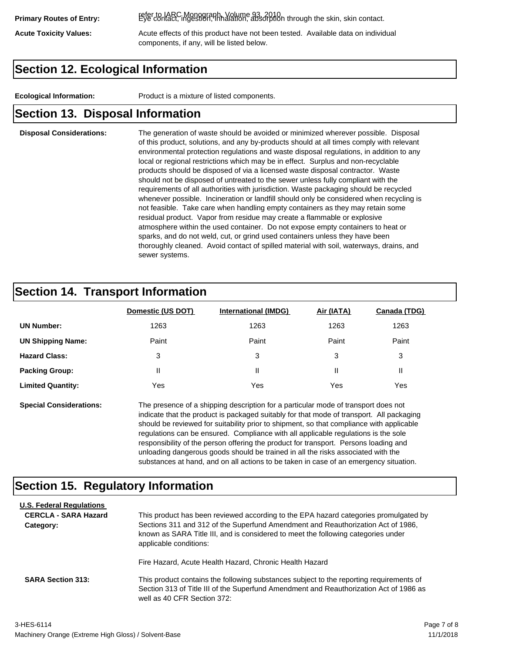refer to IARC Monograph, Volume 93, 2010. **Primary Routes of Entry:** Eye contact, ingestion, inhalation, absorption through the skin, skin contact.

Acute Toxicity Values: **Acute effects of this product have not been tested.** Available data on individual components, if any, will be listed below.

# **Section 12. Ecological Information**

**Ecological Information:** Product is a mixture of listed components.

# **Section 13. Disposal Information**

### **Disposal Considerations:** The generation of waste should be avoided or minimized wherever possible. Disposal of this product, solutions, and any by-products should at all times comply with relevant environmental protection regulations and waste disposal regulations, in addition to any local or regional restrictions which may be in effect. Surplus and non-recyclable products should be disposed of via a licensed waste disposal contractor. Waste should not be disposed of untreated to the sewer unless fully compliant with the requirements of all authorities with jurisdiction. Waste packaging should be recycled whenever possible. Incineration or landfill should only be considered when recycling is not feasible. Take care when handling empty containers as they may retain some residual product. Vapor from residue may create a flammable or explosive atmosphere within the used container. Do not expose empty containers to heat or sparks, and do not weld, cut, or grind used containers unless they have been thoroughly cleaned. Avoid contact of spilled material with soil, waterways, drains, and sewer systems.

# **Section 14. Transport Information**

|                          | Domestic (US DOT) | <b>International (IMDG)</b> | Air (IATA) | <b>Canada (TDG)</b> |
|--------------------------|-------------------|-----------------------------|------------|---------------------|
| <b>UN Number:</b>        | 1263              | 1263                        | 1263       | 1263                |
| <b>UN Shipping Name:</b> | Paint             | Paint                       | Paint      | Paint               |
| <b>Hazard Class:</b>     | 3                 | 3                           | 3          | 3                   |
| <b>Packing Group:</b>    | Ш                 | Ш                           |            |                     |
| <b>Limited Quantity:</b> | Yes               | Yes                         | Yes        | Yes                 |

**Special Considerations:** The presence of a shipping description for a particular mode of transport does not indicate that the product is packaged suitably for that mode of transport. All packaging should be reviewed for suitability prior to shipment, so that compliance with applicable regulations can be ensured. Compliance with all applicable regulations is the sole responsibility of the person offering the product for transport. Persons loading and unloading dangerous goods should be trained in all the risks associated with the substances at hand, and on all actions to be taken in case of an emergency situation.

# **Section 15. Regulatory Information**

| <b>U.S. Federal Regulations</b><br><b>CERCLA - SARA Hazard</b><br>Category: | This product has been reviewed according to the EPA hazard categories promulgated by<br>Sections 311 and 312 of the Superfund Amendment and Reauthorization Act of 1986,<br>known as SARA Title III, and is considered to meet the following categories under<br>applicable conditions: |
|-----------------------------------------------------------------------------|-----------------------------------------------------------------------------------------------------------------------------------------------------------------------------------------------------------------------------------------------------------------------------------------|
| <b>SARA Section 313:</b>                                                    | Fire Hazard, Acute Health Hazard, Chronic Health Hazard<br>This product contains the following substances subject to the reporting requirements of<br>Section 313 of Title III of the Superfund Amendment and Reauthorization Act of 1986 as<br>well as 40 CFR Section 372:             |